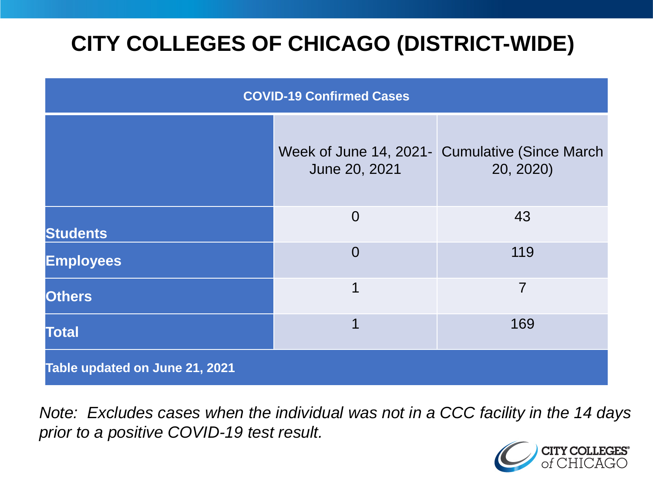# **CITY COLLEGES OF CHICAGO (DISTRICT-WIDE)**

| <b>COVID-19 Confirmed Cases</b> |                                         |                                              |
|---------------------------------|-----------------------------------------|----------------------------------------------|
|                                 | Week of June 14, 2021-<br>June 20, 2021 | <b>Cumulative (Since March)</b><br>20, 2020) |
| <b>Students</b>                 | $\overline{0}$                          | 43                                           |
| <b>Employees</b>                | $\Omega$                                | 119                                          |
| <b>Others</b>                   | 1                                       | 7                                            |
| <b>Total</b>                    | 1                                       | 169                                          |
| Table updated on June 21, 2021  |                                         |                                              |

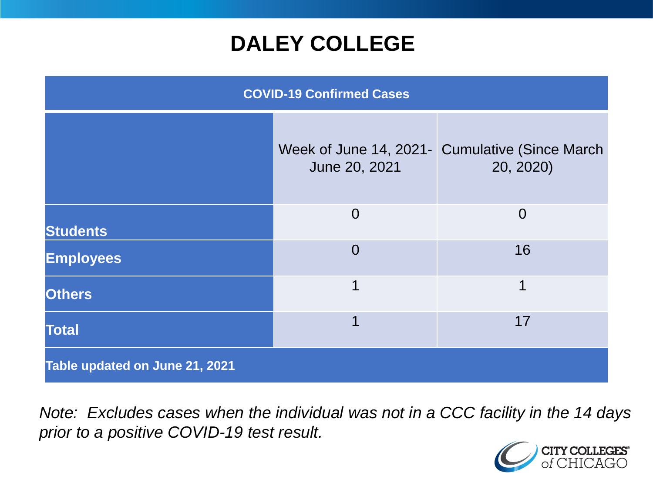### **DALEY COLLEGE**

| <b>COVID-19 Confirmed Cases</b> |                |                                                             |
|---------------------------------|----------------|-------------------------------------------------------------|
|                                 | June 20, 2021  | Week of June 14, 2021- Cumulative (Since March<br>20, 2020) |
| <b>Students</b>                 | $\overline{0}$ | $\overline{0}$                                              |
| <b>Employees</b>                | $\overline{0}$ | 16                                                          |
| <b>Others</b>                   | 1              | 1                                                           |
| <b>Total</b>                    | 1              | 17                                                          |
| Table updated on June 21, 2021  |                |                                                             |

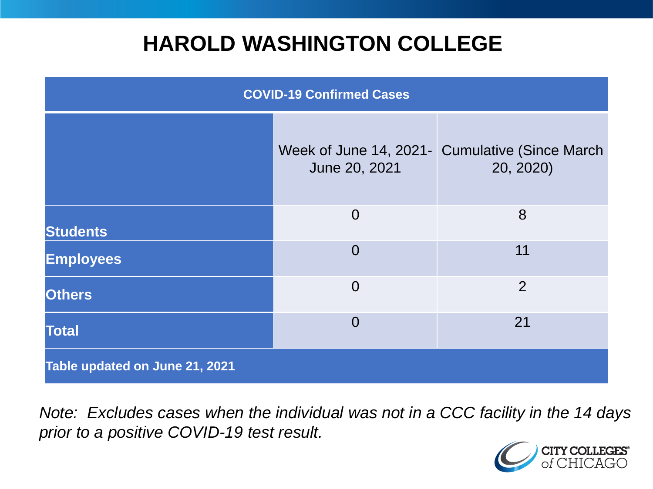### **HAROLD WASHINGTON COLLEGE**

| <b>COVID-19 Confirmed Cases</b> |                                         |                                              |
|---------------------------------|-----------------------------------------|----------------------------------------------|
|                                 | Week of June 14, 2021-<br>June 20, 2021 | <b>Cumulative (Since March)</b><br>20, 2020) |
| <b>Students</b>                 | $\overline{0}$                          | 8                                            |
| <b>Employees</b>                | $\Omega$                                | 11                                           |
| <b>Others</b>                   | $\overline{0}$                          | $\overline{2}$                               |
| <b>Total</b>                    | $\Omega$                                | 21                                           |
| Table updated on June 21, 2021  |                                         |                                              |

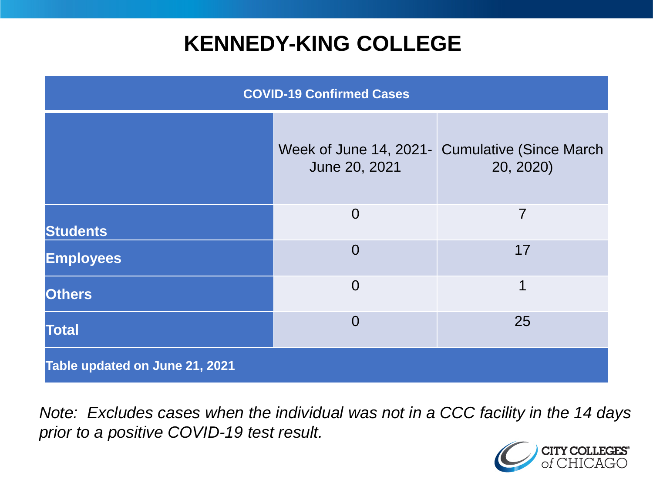## **KENNEDY-KING COLLEGE**

| <b>COVID-19 Confirmed Cases</b> |                |                                                             |
|---------------------------------|----------------|-------------------------------------------------------------|
|                                 | June 20, 2021  | Week of June 14, 2021- Cumulative (Since March<br>20, 2020) |
| <b>Students</b>                 | $\overline{0}$ | 7                                                           |
| <b>Employees</b>                | $\overline{0}$ | 17                                                          |
| <b>Others</b>                   | $\overline{0}$ | 1                                                           |
| <b>Total</b>                    | $\overline{0}$ | 25                                                          |
| Table updated on June 21, 2021  |                |                                                             |

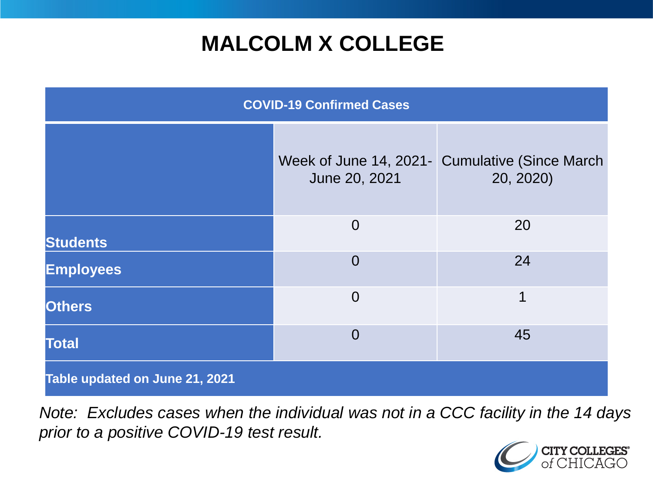## **MALCOLM X COLLEGE**

| <b>COVID-19 Confirmed Cases</b> |                |                                                             |
|---------------------------------|----------------|-------------------------------------------------------------|
|                                 | June 20, 2021  | Week of June 14, 2021- Cumulative (Since March<br>20, 2020) |
| <b>Students</b>                 | $\overline{0}$ | 20                                                          |
| <b>Employees</b>                | $\overline{0}$ | 24                                                          |
| <b>Others</b>                   | $\overline{0}$ | 1                                                           |
| <b>Total</b>                    | $\overline{0}$ | 45                                                          |
| Table updated on June 21, 2021  |                |                                                             |

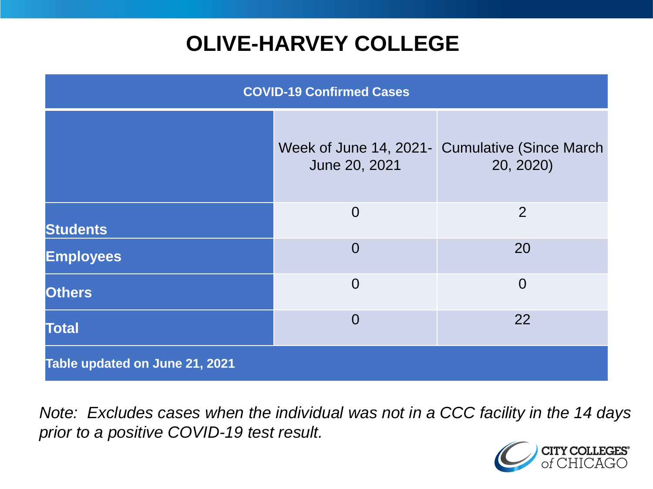# **OLIVE-HARVEY COLLEGE**

| <b>COVID-19 Confirmed Cases</b> |                                         |                                              |
|---------------------------------|-----------------------------------------|----------------------------------------------|
|                                 | Week of June 14, 2021-<br>June 20, 2021 | <b>Cumulative (Since March)</b><br>20, 2020) |
| <b>Students</b>                 | $\overline{0}$                          | 2                                            |
| <b>Employees</b>                | $\Omega$                                | 20                                           |
| <b>Others</b>                   | $\overline{0}$                          | $\overline{0}$                               |
| <b>Total</b>                    | $\Omega$                                | 22                                           |
| Table updated on June 21, 2021  |                                         |                                              |

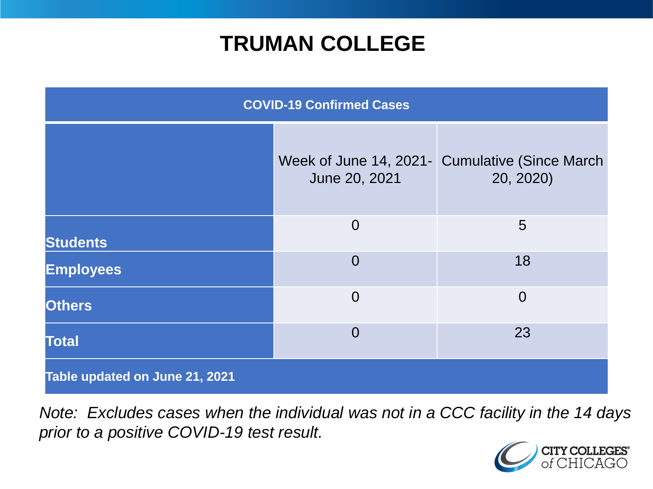### **TRUMAN COLLEGE**

| <b>COVID-19 Confirmed Cases</b> |                |                                                             |
|---------------------------------|----------------|-------------------------------------------------------------|
|                                 | June 20, 2021  | Week of June 14, 2021- Cumulative (Since March<br>20, 2020) |
| <b>Students</b>                 | $\overline{0}$ | 5                                                           |
| <b>Employees</b>                | $\overline{0}$ | 18                                                          |
| <b>Others</b>                   | $\overline{0}$ | $\overline{0}$                                              |
| <b>Total</b>                    | $\overline{0}$ | 23                                                          |
| Table updated on June 21, 2021  |                |                                                             |

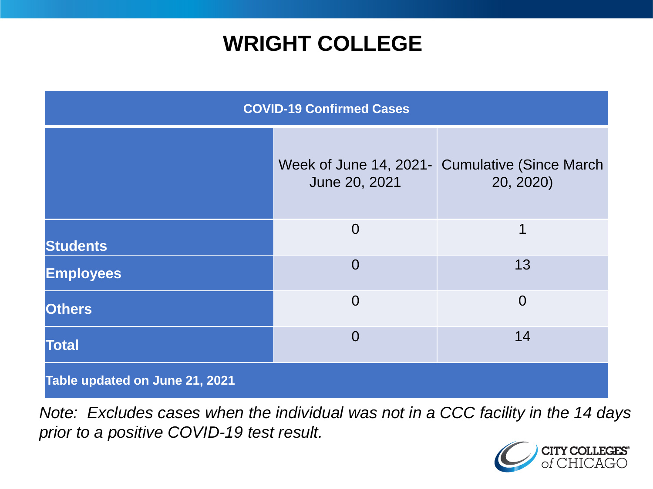### **WRIGHT COLLEGE**

| <b>COVID-19 Confirmed Cases</b> |                |                                                             |
|---------------------------------|----------------|-------------------------------------------------------------|
|                                 | June 20, 2021  | Week of June 14, 2021- Cumulative (Since March<br>20, 2020) |
| <b>Students</b>                 | $\overline{0}$ | 1                                                           |
| <b>Employees</b>                | $\overline{0}$ | 13                                                          |
| <b>Others</b>                   | $\overline{0}$ | $\overline{0}$                                              |
| <b>Total</b>                    | $\overline{0}$ | 14                                                          |
| Table updated on June 21, 2021  |                |                                                             |